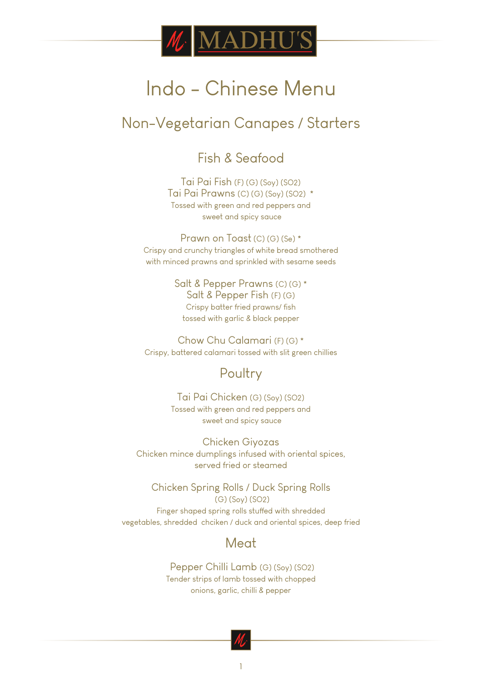

### Non-Vegetarian Canapes / Starters

Fish & Seafood

Tai Pai Fish (F) (G) (Soy) (SO2) Tai Pai Prawns (C) (G) (Soy) (SO2) \* Tossed with green and red peppers and sweet and spicy sauce

Prawn on Toast (C) (G) (Se) \* Crispy and crunchy triangles of white bread smothered with minced prawns and sprinkled with sesame seeds

> Salt & Pepper Prawns (C) (G) \* Salt & Pepper Fish (F) (G) Crispy batter fried prawns/ fish tossed with garlic & black pepper

Chow Chu Calamari (F) (G) \* Crispy, battered calamari tossed with slit green chillies

#### **Poultry**

Tai Pai Chicken (G) (Soy) (SO2) Tossed with green and red peppers and sweet and spicy sauce

Chicken Giyozas Chicken mince dumplings infused with oriental spices, served fried or steamed

Chicken Spring Rolls / Duck Spring Rolls (G) (Soy) (SO2)

Finger shaped spring rolls stuffed with shredded vegetables, shredded chciken / duck and oriental spices, deep fried

#### **Meat**

 Pepper Chilli Lamb (G) (Soy) (SO2) Tender strips of lamb tossed with chopped onions, garlic, chilli & pepper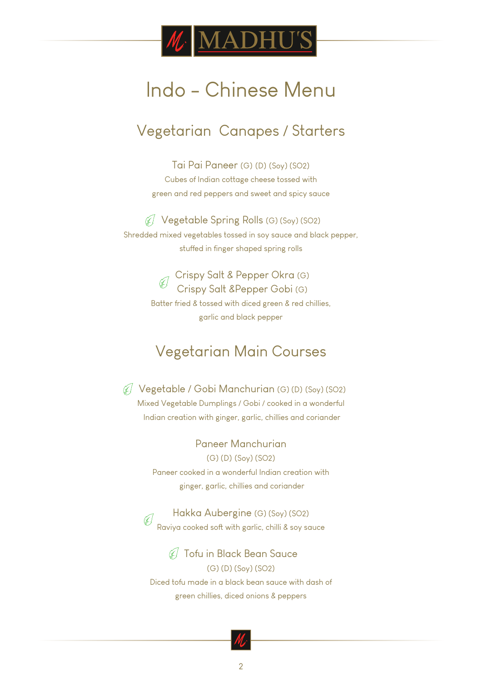

### Vegetarian Canapes / Starters

Tai Pai Paneer (G) (D) (Soy) (SO2) Cubes of Indian cottage cheese tossed with green and red peppers and sweet and spicy sauce

Vegetable Spring Rolls (G) (Soy) (SO2) Shredded mixed vegetables tossed in soy sauce and black pepper, stuffed in finger shaped spring rolls

> Crispy Salt & Pepper Okra (G) Crispy Salt &Pepper Gobi (G) Batter fried & tossed with diced green & red chillies, garlic and black pepper

### Vegetarian Main Courses

 Vegetable / Gobi Manchurian (G) (D) (Soy) (SO2) Mixed Vegetable Dumplings / Gobi / cooked in a wonderful Indian creation with ginger, garlic, chillies and coriander

> Paneer Manchurian (G) (D) (Soy) (SO2) Paneer cooked in a wonderful Indian creation with ginger, garlic, chillies and coriander

Hakka Aubergine (G) (Soy) (SO2) Raviya cooked soft with garlic, chilli & soy sauce

Tofu in Black Bean Sauce (G) (D) (Soy) (SO2) Diced tofu made in a black bean sauce with dash of green chillies, diced onions & peppers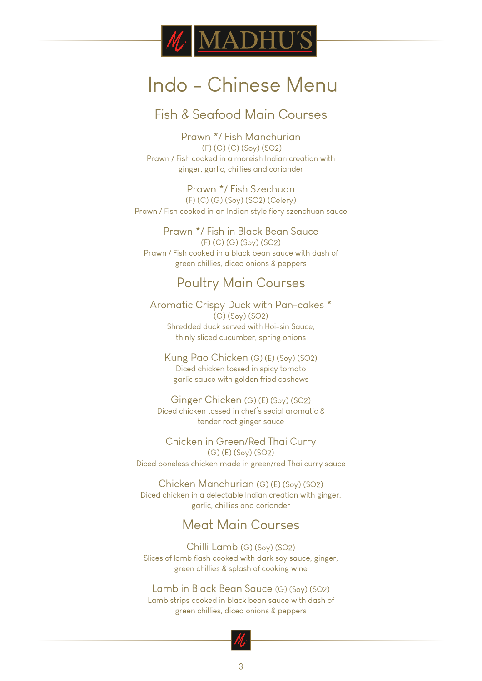

#### Fish & Seafood Main Courses

Prawn \*/ Fish Manchurian (F) (G) (C) (Soy) (SO2) Prawn / Fish cooked in a moreish Indian creation with ginger, garlic, chillies and coriander

Prawn \*/ Fish Szechuan

(F) (C) (G) (Soy) (SO2) (Celery) Prawn / Fish cooked in an Indian style fiery szenchuan sauce

Prawn \*/ Fish in Black Bean Sauce (F) (C) (G) (Soy) (SO2) Prawn / Fish cooked in a black bean sauce with dash of green chillies, diced onions & peppers

#### Poultry Main Courses

Aromatic Crispy Duck with Pan-cakes \* (G) (Soy) (SO2) Shredded duck served with Hoi-sin Sauce, thinly sliced cucumber, spring onions

Kung Pao Chicken (G) (E) (Soy) (SO2) Diced chicken tossed in spicy tomato garlic sauce with golden fried cashews

Ginger Chicken (G) (E) (Soy) (SO2) Diced chicken tossed in chef's secial aromatic & tender root ginger sauce

Chicken in Green/Red Thai Curry (G) (E) (Soy) (SO2) Diced boneless chicken made in green/red Thai curry sauce

Chicken Manchurian (G) (E) (Soy) (SO2) Diced chicken in a delectable Indian creation with ginger, garlic, chillies and coriander

#### Meat Main Courses

Chilli Lamb (G) (Soy) (SO2) Slices of lamb fiash cooked with dark soy sauce, ginger, green chillies & splash of cooking wine

Lamb in Black Bean Sauce (G) (Soy) (SO2) Lamb strips cooked in black bean sauce with dash of green chillies, diced onions & peppers